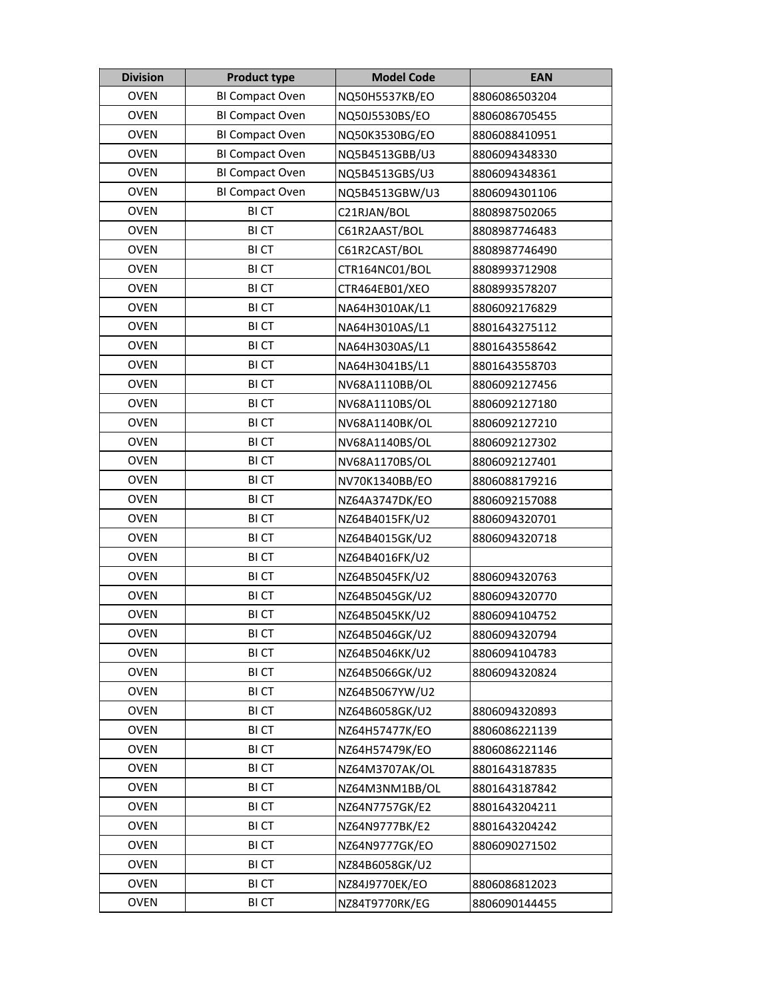| <b>Division</b> | <b>Product type</b>    | <b>Model Code</b> | <b>EAN</b>    |
|-----------------|------------------------|-------------------|---------------|
| <b>OVEN</b>     | <b>BI Compact Oven</b> | NQ50H5537KB/EO    | 8806086503204 |
| <b>OVEN</b>     | BI Compact Oven        | NQ50J5530BS/EO    | 8806086705455 |
| <b>OVEN</b>     | BI Compact Oven        | NQ50K3530BG/EO    | 8806088410951 |
| <b>OVEN</b>     | <b>BI Compact Oven</b> | NQ5B4513GBB/U3    | 8806094348330 |
| <b>OVEN</b>     | BI Compact Oven        | NQ5B4513GBS/U3    | 8806094348361 |
| <b>OVEN</b>     | BI Compact Oven        | NQ5B4513GBW/U3    | 8806094301106 |
| <b>OVEN</b>     | <b>BICT</b>            | C21RJAN/BOL       | 8808987502065 |
| <b>OVEN</b>     | <b>BICT</b>            | C61R2AAST/BOL     | 8808987746483 |
| <b>OVEN</b>     | <b>BICT</b>            | C61R2CAST/BOL     | 8808987746490 |
| <b>OVEN</b>     | <b>BICT</b>            | CTR164NC01/BOL    | 8808993712908 |
| <b>OVEN</b>     | <b>BICT</b>            | CTR464EB01/XEO    | 8808993578207 |
| <b>OVEN</b>     | <b>BICT</b>            | NA64H3010AK/L1    | 8806092176829 |
| <b>OVEN</b>     | <b>BICT</b>            | NA64H3010AS/L1    | 8801643275112 |
| <b>OVEN</b>     | <b>BICT</b>            | NA64H3030AS/L1    | 8801643558642 |
| <b>OVEN</b>     | <b>BICT</b>            | NA64H3041BS/L1    | 8801643558703 |
| <b>OVEN</b>     | <b>BICT</b>            | NV68A1110BB/OL    | 8806092127456 |
| <b>OVEN</b>     | <b>BICT</b>            | NV68A1110BS/OL    | 8806092127180 |
| <b>OVEN</b>     | <b>BICT</b>            | NV68A1140BK/OL    | 8806092127210 |
| <b>OVEN</b>     | <b>BICT</b>            | NV68A1140BS/OL    | 8806092127302 |
| <b>OVEN</b>     | <b>BICT</b>            | NV68A1170BS/OL    | 8806092127401 |
| <b>OVEN</b>     | <b>BICT</b>            | NV70K1340BB/EO    | 8806088179216 |
| <b>OVEN</b>     | <b>BICT</b>            | NZ64A3747DK/EO    | 8806092157088 |
| <b>OVEN</b>     | <b>BICT</b>            | NZ64B4015FK/U2    | 8806094320701 |
| <b>OVEN</b>     | <b>BICT</b>            | NZ64B4015GK/U2    | 8806094320718 |
| <b>OVEN</b>     | <b>BICT</b>            | NZ64B4016FK/U2    |               |
| <b>OVEN</b>     | <b>BICT</b>            | NZ64B5045FK/U2    | 8806094320763 |
| <b>OVEN</b>     | <b>BICT</b>            | NZ64B5045GK/U2    | 8806094320770 |
| <b>OVEN</b>     | <b>BICT</b>            | NZ64B5045KK/U2    | 8806094104752 |
| OVEN            | <b>BICT</b>            | NZ64B5046GK/U2    | 8806094320794 |
| <b>OVEN</b>     | <b>BICT</b>            | NZ64B5046KK/U2    | 8806094104783 |
| <b>OVEN</b>     | <b>BICT</b>            | NZ64B5066GK/U2    | 8806094320824 |
| <b>OVEN</b>     | <b>BICT</b>            | NZ64B5067YW/U2    |               |
| <b>OVEN</b>     | <b>BICT</b>            | NZ64B6058GK/U2    | 8806094320893 |
| <b>OVEN</b>     | <b>BICT</b>            | NZ64H57477K/EO    | 8806086221139 |
| <b>OVEN</b>     | <b>BICT</b>            | NZ64H57479K/EO    | 8806086221146 |
| <b>OVEN</b>     | <b>BICT</b>            | NZ64M3707AK/OL    | 8801643187835 |
| <b>OVEN</b>     | <b>BICT</b>            | NZ64M3NM1BB/OL    | 8801643187842 |
| <b>OVEN</b>     | <b>BICT</b>            | NZ64N7757GK/E2    | 8801643204211 |
| <b>OVEN</b>     | <b>BICT</b>            | NZ64N9777BK/E2    | 8801643204242 |
| <b>OVEN</b>     | <b>BICT</b>            | NZ64N9777GK/EO    | 8806090271502 |
| <b>OVEN</b>     | <b>BICT</b>            | NZ84B6058GK/U2    |               |
| <b>OVEN</b>     | <b>BICT</b>            | NZ84J9770EK/EO    | 8806086812023 |
| <b>OVEN</b>     | <b>BICT</b>            | NZ84T9770RK/EG    | 8806090144455 |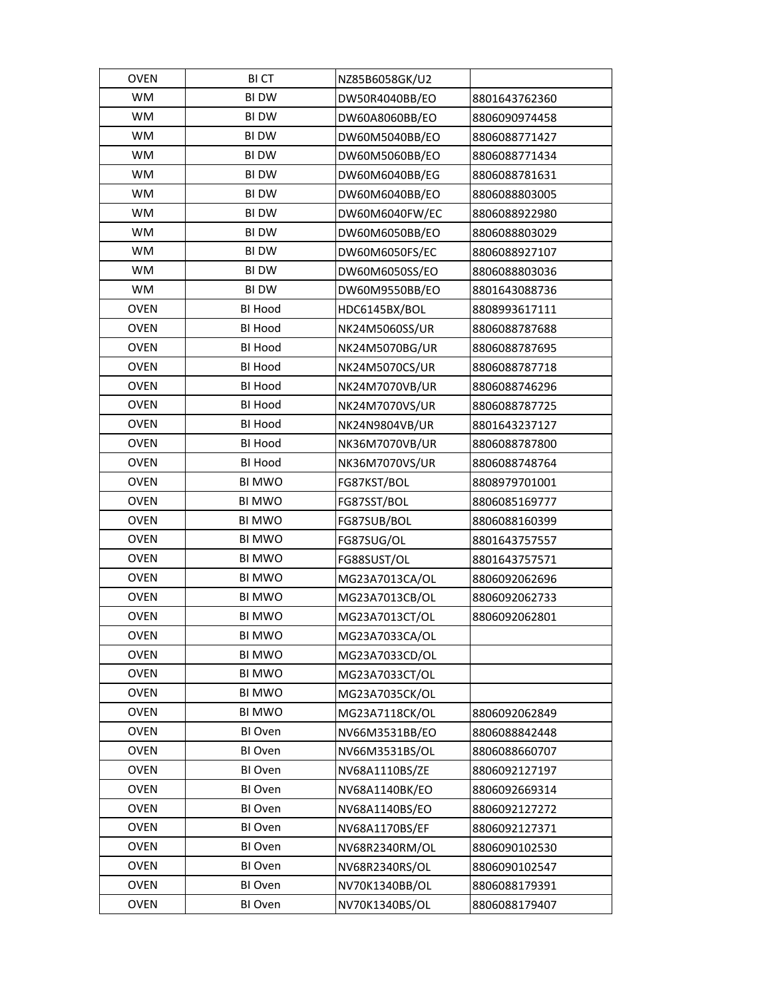| OVEN        | <b>BICT</b>    | NZ85B6058GK/U2 |               |
|-------------|----------------|----------------|---------------|
| <b>WM</b>   | <b>BI DW</b>   | DW50R4040BB/EO | 8801643762360 |
| <b>WM</b>   | <b>BI DW</b>   | DW60A8060BB/EO | 8806090974458 |
| WM          | <b>BI DW</b>   | DW60M5040BB/EO | 8806088771427 |
| <b>WM</b>   | <b>BI DW</b>   | DW60M5060BB/EO | 8806088771434 |
| WM          | <b>BI DW</b>   | DW60M6040BB/EG | 8806088781631 |
| <b>WM</b>   | <b>BI DW</b>   | DW60M6040BB/EO | 8806088803005 |
| WM          | <b>BI DW</b>   | DW60M6040FW/EC | 8806088922980 |
| <b>WM</b>   | <b>BI DW</b>   | DW60M6050BB/EO | 8806088803029 |
| <b>WM</b>   | <b>BI DW</b>   | DW60M6050FS/EC | 8806088927107 |
| <b>WM</b>   | <b>BI DW</b>   | DW60M6050SS/EO | 8806088803036 |
| <b>WM</b>   | <b>BI DW</b>   | DW60M9550BB/EO | 8801643088736 |
| <b>OVEN</b> | <b>BI Hood</b> | HDC6145BX/BOL  | 8808993617111 |
| <b>OVEN</b> | <b>BI Hood</b> | NK24M5060SS/UR | 8806088787688 |
| <b>OVEN</b> | <b>BI Hood</b> | NK24M5070BG/UR | 8806088787695 |
| <b>OVEN</b> | <b>BI Hood</b> | NK24M5070CS/UR | 8806088787718 |
| <b>OVEN</b> | <b>BI Hood</b> | NK24M7070VB/UR | 8806088746296 |
| <b>OVEN</b> | <b>BI Hood</b> | NK24M7070VS/UR | 8806088787725 |
| <b>OVEN</b> | <b>BI Hood</b> | NK24N9804VB/UR | 8801643237127 |
| <b>OVEN</b> | <b>BI Hood</b> | NK36M7070VB/UR | 8806088787800 |
| <b>OVEN</b> | <b>BI Hood</b> | NK36M7070VS/UR | 8806088748764 |
| <b>OVEN</b> | <b>BI MWO</b>  | FG87KST/BOL    | 8808979701001 |
| <b>OVEN</b> | <b>BI MWO</b>  | FG87SST/BOL    | 8806085169777 |
| <b>OVEN</b> | <b>BI MWO</b>  | FG87SUB/BOL    | 8806088160399 |
| <b>OVEN</b> | <b>BI MWO</b>  | FG87SUG/OL     | 8801643757557 |
| <b>OVEN</b> | <b>BI MWO</b>  | FG88SUST/OL    | 8801643757571 |
| <b>OVEN</b> | <b>BI MWO</b>  | MG23A7013CA/OL | 8806092062696 |
| <b>OVEN</b> | <b>BI MWO</b>  | MG23A7013CB/OL | 8806092062733 |
| <b>OVEN</b> | <b>BI MWO</b>  | MG23A7013CT/OL | 8806092062801 |
| OVEN        | BI MWO         | MG23A7033CA/OL |               |
| <b>OVEN</b> | <b>BI MWO</b>  | MG23A7033CD/OL |               |
| <b>OVEN</b> | <b>BI MWO</b>  | MG23A7033CT/OL |               |
| <b>OVEN</b> | <b>BI MWO</b>  | MG23A7035CK/OL |               |
| <b>OVEN</b> | <b>BI MWO</b>  | MG23A7118CK/OL | 8806092062849 |
| <b>OVEN</b> | BI Oven        | NV66M3531BB/EO | 8806088842448 |
| <b>OVEN</b> | BI Oven        | NV66M3531BS/OL | 8806088660707 |
| <b>OVEN</b> | BI Oven        | NV68A1110BS/ZE | 8806092127197 |
| <b>OVEN</b> | BI Oven        | NV68A1140BK/EO | 8806092669314 |
| <b>OVEN</b> | BI Oven        | NV68A1140BS/EO | 8806092127272 |
| <b>OVEN</b> | BI Oven        | NV68A1170BS/EF | 8806092127371 |
| <b>OVEN</b> | BI Oven        | NV68R2340RM/OL | 8806090102530 |
| <b>OVEN</b> | BI Oven        | NV68R2340RS/OL | 8806090102547 |
| <b>OVEN</b> | BI Oven        | NV70K1340BB/OL | 8806088179391 |
| <b>OVEN</b> | BI Oven        | NV70K1340BS/OL | 8806088179407 |
|             |                |                |               |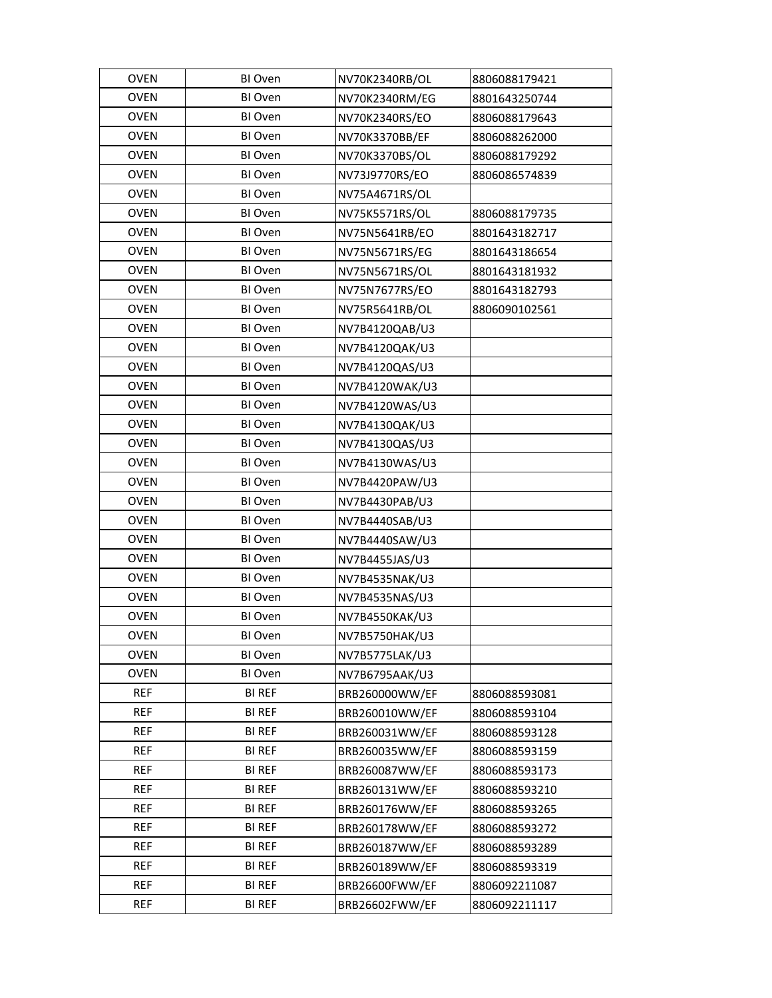| <b>OVEN</b> | BI Oven       | NV70K2340RB/OL | 8806088179421 |
|-------------|---------------|----------------|---------------|
| <b>OVEN</b> | BI Oven       | NV70K2340RM/EG | 8801643250744 |
| <b>OVEN</b> | BI Oven       | NV70K2340RS/EO | 8806088179643 |
| <b>OVEN</b> | BI Oven       | NV70K3370BB/EF | 8806088262000 |
| <b>OVEN</b> | BI Oven       | NV70K3370BS/OL | 8806088179292 |
| <b>OVEN</b> | BI Oven       | NV73J9770RS/EO | 8806086574839 |
| <b>OVEN</b> | BI Oven       | NV75A4671RS/OL |               |
| <b>OVEN</b> | BI Oven       | NV75K5571RS/OL | 8806088179735 |
| <b>OVEN</b> | BI Oven       | NV75N5641RB/EO | 8801643182717 |
| <b>OVEN</b> | BI Oven       | NV75N5671RS/EG | 8801643186654 |
| <b>OVEN</b> | BI Oven       | NV75N5671RS/OL | 8801643181932 |
| <b>OVEN</b> | BI Oven       | NV75N7677RS/EO | 8801643182793 |
| <b>OVEN</b> | BI Oven       | NV75R5641RB/OL | 8806090102561 |
| <b>OVEN</b> | BI Oven       | NV7B4120QAB/U3 |               |
| <b>OVEN</b> | BI Oven       | NV7B4120QAK/U3 |               |
| <b>OVEN</b> | BI Oven       | NV7B4120QAS/U3 |               |
| <b>OVEN</b> | BI Oven       | NV7B4120WAK/U3 |               |
| <b>OVEN</b> | BI Oven       | NV7B4120WAS/U3 |               |
| <b>OVEN</b> | BI Oven       | NV7B4130QAK/U3 |               |
| <b>OVEN</b> | BI Oven       | NV7B4130QAS/U3 |               |
| <b>OVEN</b> | BI Oven       | NV7B4130WAS/U3 |               |
| <b>OVEN</b> | BI Oven       | NV7B4420PAW/U3 |               |
| <b>OVEN</b> | BI Oven       | NV7B4430PAB/U3 |               |
| <b>OVEN</b> | BI Oven       | NV7B4440SAB/U3 |               |
| <b>OVEN</b> | BI Oven       | NV7B4440SAW/U3 |               |
| <b>OVEN</b> | BI Oven       | NV7B4455JAS/U3 |               |
| <b>OVEN</b> | BI Oven       | NV7B4535NAK/U3 |               |
| <b>OVEN</b> | BI Oven       | NV7B4535NAS/U3 |               |
| <b>OVEN</b> | BI Oven       | NV7B4550KAK/U3 |               |
| <b>OVEN</b> | BI Oven       | NV7B5750HAK/U3 |               |
| <b>OVEN</b> | BI Oven       | NV7B5775LAK/U3 |               |
| <b>OVEN</b> | BI Oven       | NV7B6795AAK/U3 |               |
| <b>REF</b>  | <b>BI REF</b> | BRB260000WW/EF | 8806088593081 |
| <b>REF</b>  | BI REF        | BRB260010WW/EF | 8806088593104 |
| <b>REF</b>  | <b>BI REF</b> | BRB260031WW/EF | 8806088593128 |
| <b>REF</b>  | BI REF        | BRB260035WW/EF | 8806088593159 |
| <b>REF</b>  | <b>BI REF</b> | BRB260087WW/EF | 8806088593173 |
| <b>REF</b>  | <b>BI REF</b> | BRB260131WW/EF | 8806088593210 |
| <b>REF</b>  | <b>BI REF</b> | BRB260176WW/EF | 8806088593265 |
| REF         | <b>BI REF</b> | BRB260178WW/EF | 8806088593272 |
| <b>REF</b>  | <b>BI REF</b> | BRB260187WW/EF | 8806088593289 |
| <b>REF</b>  | <b>BI REF</b> | BRB260189WW/EF | 8806088593319 |
| REF         | <b>BI REF</b> | BRB26600FWW/EF | 8806092211087 |
| <b>REF</b>  | <b>BI REF</b> | BRB26602FWW/EF | 8806092211117 |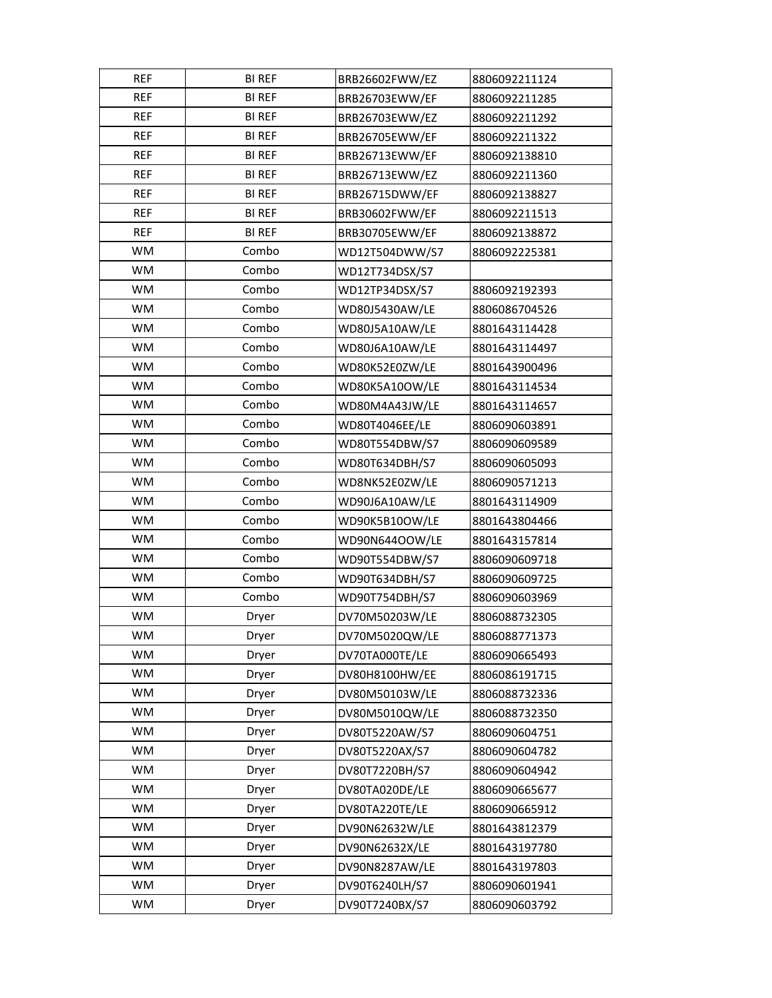| REF        | <b>BI REF</b> | BRB26602FWW/EZ | 8806092211124 |
|------------|---------------|----------------|---------------|
| <b>REF</b> | <b>BI REF</b> | BRB26703EWW/EF | 8806092211285 |
| <b>REF</b> | <b>BI REF</b> | BRB26703EWW/EZ | 8806092211292 |
| <b>REF</b> | <b>BI REF</b> | BRB26705EWW/EF | 8806092211322 |
| <b>REF</b> | <b>BI REF</b> | BRB26713EWW/EF | 8806092138810 |
| <b>REF</b> | <b>BI REF</b> | BRB26713EWW/EZ | 8806092211360 |
| <b>REF</b> | <b>BI REF</b> | BRB26715DWW/EF | 8806092138827 |
| <b>REF</b> | <b>BI REF</b> | BRB30602FWW/EF | 8806092211513 |
| <b>REF</b> | <b>BI REF</b> | BRB30705EWW/EF | 8806092138872 |
| <b>WM</b>  | Combo         | WD12T504DWW/S7 | 8806092225381 |
| <b>WM</b>  | Combo         | WD12T734DSX/S7 |               |
| <b>WM</b>  | Combo         | WD12TP34DSX/S7 | 8806092192393 |
| <b>WM</b>  | Combo         | WD80J5430AW/LE | 8806086704526 |
| <b>WM</b>  | Combo         | WD80J5A10AW/LE | 8801643114428 |
| <b>WM</b>  | Combo         | WD80J6A10AW/LE | 8801643114497 |
| WM         | Combo         | WD80K52E0ZW/LE | 8801643900496 |
| <b>WM</b>  | Combo         | WD80K5A10OW/LE | 8801643114534 |
| WM         | Combo         | WD80M4A43JW/LE | 8801643114657 |
| WM         | Combo         | WD80T4046EE/LE | 8806090603891 |
| <b>WM</b>  | Combo         | WD80T554DBW/S7 | 8806090609589 |
| <b>WM</b>  | Combo         | WD80T634DBH/S7 | 8806090605093 |
| WM         | Combo         | WD8NK52E0ZW/LE | 8806090571213 |
| <b>WM</b>  | Combo         | WD90J6A10AW/LE | 8801643114909 |
| <b>WM</b>  | Combo         | WD90K5B10OW/LE | 8801643804466 |
| <b>WM</b>  | Combo         | WD90N644OOW/LE | 8801643157814 |
| <b>WM</b>  | Combo         | WD90T554DBW/S7 | 8806090609718 |
| WM         | Combo         | WD90T634DBH/S7 | 8806090609725 |
| <b>WM</b>  | Combo         | WD90T754DBH/S7 | 8806090603969 |
| WM         | Dryer         | DV70M50203W/LE | 8806088732305 |
| WM         | Dryer         | DV70M5020QW/LE | 8806088771373 |
| <b>WM</b>  | Dryer         | DV70TA000TE/LE | 8806090665493 |
| WM         | Dryer         | DV80H8100HW/EE | 8806086191715 |
| <b>WM</b>  | Dryer         | DV80M50103W/LE | 8806088732336 |
| WM         | Dryer         | DV80M5010QW/LE | 8806088732350 |
| <b>WM</b>  | Dryer         | DV80T5220AW/S7 | 8806090604751 |
| <b>WM</b>  | Dryer         | DV80T5220AX/S7 | 8806090604782 |
| <b>WM</b>  | Dryer         | DV80T7220BH/S7 | 8806090604942 |
| <b>WM</b>  | Dryer         | DV80TA020DE/LE | 8806090665677 |
| <b>WM</b>  | Dryer         | DV80TA220TE/LE | 8806090665912 |
| WM         | Dryer         | DV90N62632W/LE | 8801643812379 |
| <b>WM</b>  | Dryer         | DV90N62632X/LE | 8801643197780 |
| <b>WM</b>  | Dryer         | DV90N8287AW/LE | 8801643197803 |
| WM         | Dryer         | DV90T6240LH/S7 | 8806090601941 |
| WM         | Dryer         | DV90T7240BX/S7 | 8806090603792 |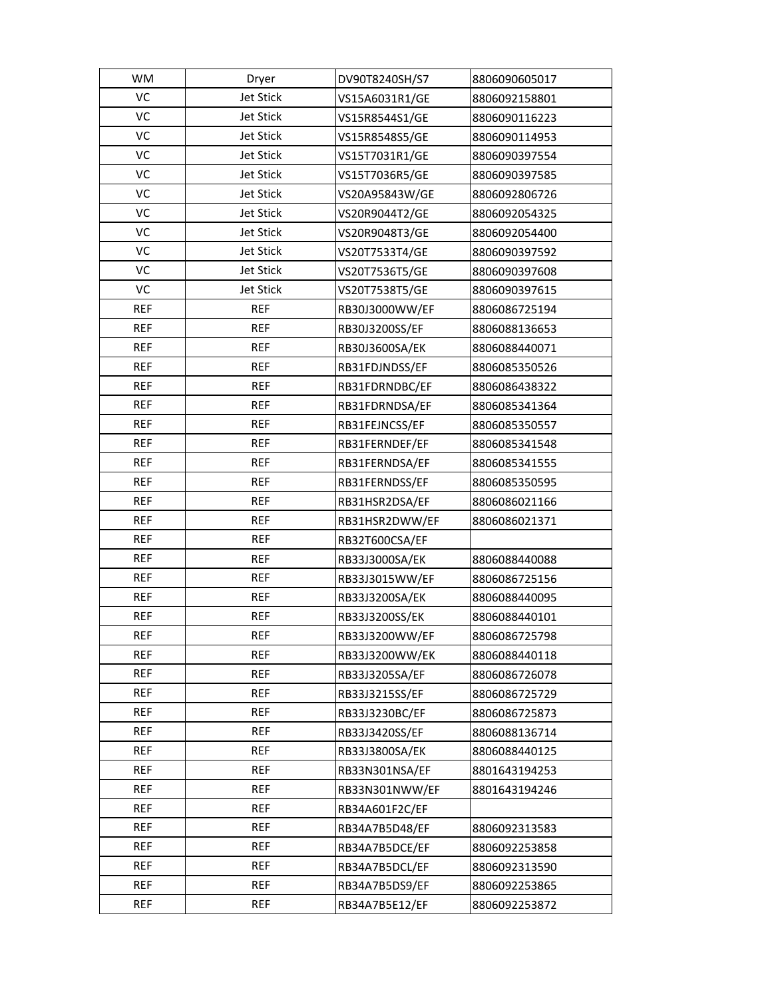| WM         | Dryer            | DV90T8240SH/S7 | 8806090605017 |
|------------|------------------|----------------|---------------|
| VC         | <b>Jet Stick</b> | VS15A6031R1/GE | 8806092158801 |
| VC         | Jet Stick        | VS15R8544S1/GE | 8806090116223 |
| VC         | Jet Stick        | VS15R8548S5/GE | 8806090114953 |
| VC         | <b>Jet Stick</b> | VS15T7031R1/GE | 8806090397554 |
| VC         | <b>Jet Stick</b> | VS15T7036R5/GE | 8806090397585 |
| VC         | <b>Jet Stick</b> | VS20A95843W/GE | 8806092806726 |
| VC         | Jet Stick        | VS20R9044T2/GE | 8806092054325 |
| VC         | Jet Stick        | VS20R9048T3/GE | 8806092054400 |
| VC         | <b>Jet Stick</b> | VS20T7533T4/GE | 8806090397592 |
| VC         | <b>Jet Stick</b> | VS20T7536T5/GE | 8806090397608 |
| VC         | <b>Jet Stick</b> | VS20T7538T5/GE | 8806090397615 |
| <b>REF</b> | <b>REF</b>       | RB30J3000WW/EF | 8806086725194 |
| <b>REF</b> | <b>REF</b>       | RB30J3200SS/EF | 8806088136653 |
| <b>REF</b> | <b>REF</b>       | RB30J3600SA/EK | 8806088440071 |
| <b>REF</b> | <b>REF</b>       | RB31FDJNDSS/EF | 8806085350526 |
| <b>REF</b> | <b>REF</b>       | RB31FDRNDBC/EF | 8806086438322 |
| <b>REF</b> | <b>REF</b>       | RB31FDRNDSA/EF | 8806085341364 |
| <b>REF</b> | <b>REF</b>       | RB31FEJNCSS/EF | 8806085350557 |
| <b>REF</b> | <b>REF</b>       | RB31FERNDEF/EF | 8806085341548 |
| <b>REF</b> | <b>REF</b>       | RB31FERNDSA/EF | 8806085341555 |
| <b>REF</b> | <b>REF</b>       | RB31FERNDSS/EF | 8806085350595 |
| <b>REF</b> | <b>REF</b>       | RB31HSR2DSA/EF | 8806086021166 |
| <b>REF</b> | <b>REF</b>       | RB31HSR2DWW/EF | 8806086021371 |
| REF        | <b>REF</b>       | RB32T600CSA/EF |               |
| REF        | <b>REF</b>       | RB33J3000SA/EK | 8806088440088 |
| <b>REF</b> | <b>REF</b>       | RB33J3015WW/EF | 8806086725156 |
| <b>REF</b> | <b>REF</b>       | RB33J3200SA/EK | 8806088440095 |
| <b>REF</b> | <b>REF</b>       | RB33J3200SS/EK | 8806088440101 |
| <b>REF</b> | <b>REF</b>       | RB33J3200WW/EF | 8806086725798 |
| REF        | <b>REF</b>       | RB33J3200WW/EK | 8806088440118 |
| REF        | REF              | RB33J3205SA/EF | 8806086726078 |
| <b>REF</b> | <b>REF</b>       | RB33J3215SS/EF | 8806086725729 |
| <b>REF</b> | <b>REF</b>       | RB33J3230BC/EF | 8806086725873 |
| <b>REF</b> | <b>REF</b>       | RB33J3420SS/EF | 8806088136714 |
| REF        | <b>REF</b>       | RB33J3800SA/EK | 8806088440125 |
| REF        | <b>REF</b>       | RB33N301NSA/EF | 8801643194253 |
| REF        | REF              | RB33N301NWW/EF | 8801643194246 |
| REF        | <b>REF</b>       | RB34A601F2C/EF |               |
| <b>REF</b> | REF              | RB34A7B5D48/EF | 8806092313583 |
| REF        | <b>REF</b>       | RB34A7B5DCE/EF | 8806092253858 |
| <b>REF</b> | <b>REF</b>       | RB34A7B5DCL/EF | 8806092313590 |
| <b>REF</b> | REF              | RB34A7B5DS9/EF | 8806092253865 |
| <b>REF</b> | <b>REF</b>       | RB34A7B5E12/EF | 8806092253872 |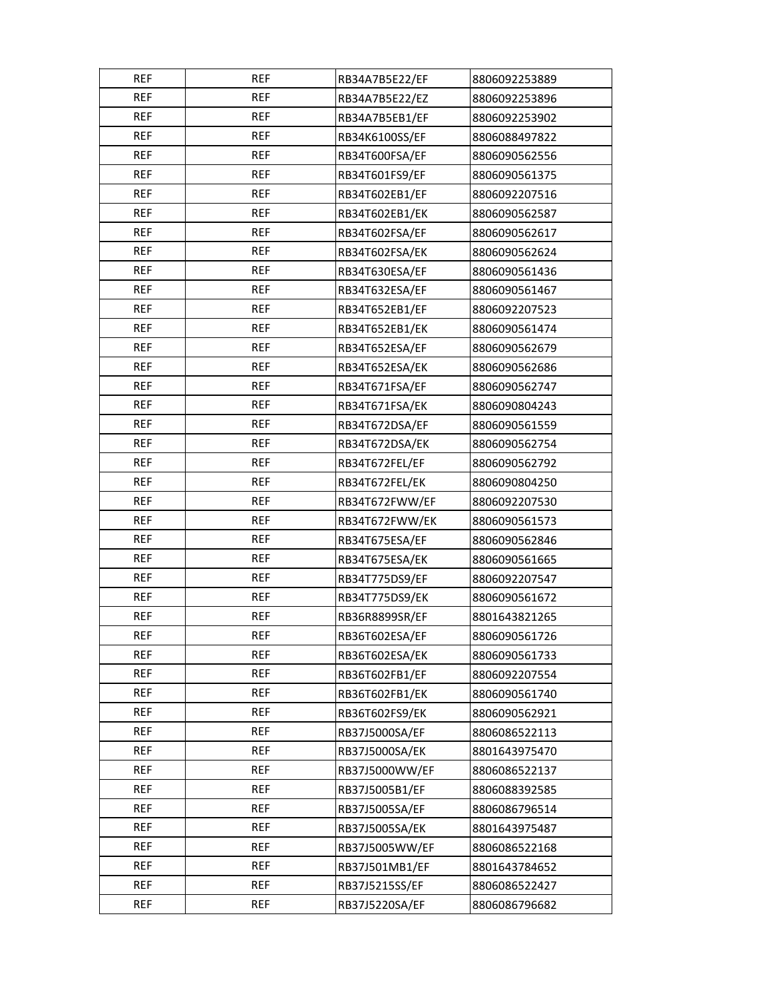| <b>REF</b> | <b>REF</b> | RB34A7B5E22/EF | 8806092253889 |
|------------|------------|----------------|---------------|
| <b>REF</b> | <b>REF</b> | RB34A7B5E22/EZ | 8806092253896 |
| <b>REF</b> | <b>REF</b> | RB34A7B5EB1/EF | 8806092253902 |
| <b>REF</b> | REF        | RB34K6100SS/EF | 8806088497822 |
| <b>REF</b> | <b>REF</b> | RB34T600FSA/EF | 8806090562556 |
| <b>REF</b> | <b>REF</b> | RB34T601FS9/EF | 8806090561375 |
| <b>REF</b> | <b>REF</b> | RB34T602EB1/EF | 8806092207516 |
| <b>REF</b> | REF        | RB34T602EB1/EK | 8806090562587 |
| <b>REF</b> | <b>REF</b> | RB34T602FSA/EF | 8806090562617 |
| <b>REF</b> | <b>REF</b> | RB34T602FSA/EK | 8806090562624 |
| <b>REF</b> | <b>REF</b> | RB34T630ESA/EF | 8806090561436 |
| <b>REF</b> | <b>REF</b> | RB34T632ESA/EF | 8806090561467 |
| <b>REF</b> | <b>REF</b> | RB34T652EB1/EF | 8806092207523 |
| <b>REF</b> | <b>REF</b> | RB34T652EB1/EK | 8806090561474 |
| <b>REF</b> | <b>REF</b> | RB34T652ESA/EF | 8806090562679 |
| <b>REF</b> | <b>REF</b> | RB34T652ESA/EK | 8806090562686 |
| <b>REF</b> | <b>REF</b> | RB34T671FSA/EF | 8806090562747 |
| <b>REF</b> | <b>REF</b> | RB34T671FSA/EK | 8806090804243 |
| <b>REF</b> | REF        | RB34T672DSA/EF | 8806090561559 |
| <b>REF</b> | <b>REF</b> | RB34T672DSA/EK | 8806090562754 |
| <b>REF</b> | <b>REF</b> | RB34T672FEL/EF | 8806090562792 |
| <b>REF</b> | <b>REF</b> | RB34T672FEL/EK | 8806090804250 |
| <b>REF</b> | <b>REF</b> | RB34T672FWW/EF | 8806092207530 |
| <b>REF</b> | <b>REF</b> | RB34T672FWW/EK | 8806090561573 |
| <b>REF</b> | <b>REF</b> | RB34T675ESA/EF | 8806090562846 |
| <b>REF</b> | <b>REF</b> | RB34T675ESA/EK | 8806090561665 |
| <b>REF</b> | <b>REF</b> | RB34T775DS9/EF | 8806092207547 |
| <b>REF</b> | <b>REF</b> | RB34T775DS9/EK | 8806090561672 |
| <b>REF</b> | <b>REF</b> | RB36R8899SR/EF | 8801643821265 |
| <b>REF</b> | <b>REF</b> | RB36T602ESA/EF | 8806090561726 |
| <b>REF</b> | <b>REF</b> | RB36T602ESA/EK | 8806090561733 |
| <b>REF</b> | REF        | RB36T602FB1/EF | 8806092207554 |
| <b>REF</b> | <b>REF</b> | RB36T602FB1/EK | 8806090561740 |
| <b>REF</b> | <b>REF</b> | RB36T602FS9/EK | 8806090562921 |
| <b>REF</b> | <b>REF</b> | RB37J5000SA/EF | 8806086522113 |
| <b>REF</b> | REF        | RB37J5000SA/EK | 8801643975470 |
| <b>REF</b> | <b>REF</b> | RB37J5000WW/EF | 8806086522137 |
| <b>REF</b> | REF        | RB37J5005B1/EF | 8806088392585 |
| REF        | <b>REF</b> | RB37J5005SA/EF | 8806086796514 |
| <b>REF</b> | REF        | RB37J5005SA/EK | 8801643975487 |
| REF        | <b>REF</b> | RB37J5005WW/EF | 8806086522168 |
| <b>REF</b> | <b>REF</b> | RB37J501MB1/EF | 8801643784652 |
| <b>REF</b> | REF        | RB37J5215SS/EF | 8806086522427 |
| <b>REF</b> | <b>REF</b> | RB37J5220SA/EF | 8806086796682 |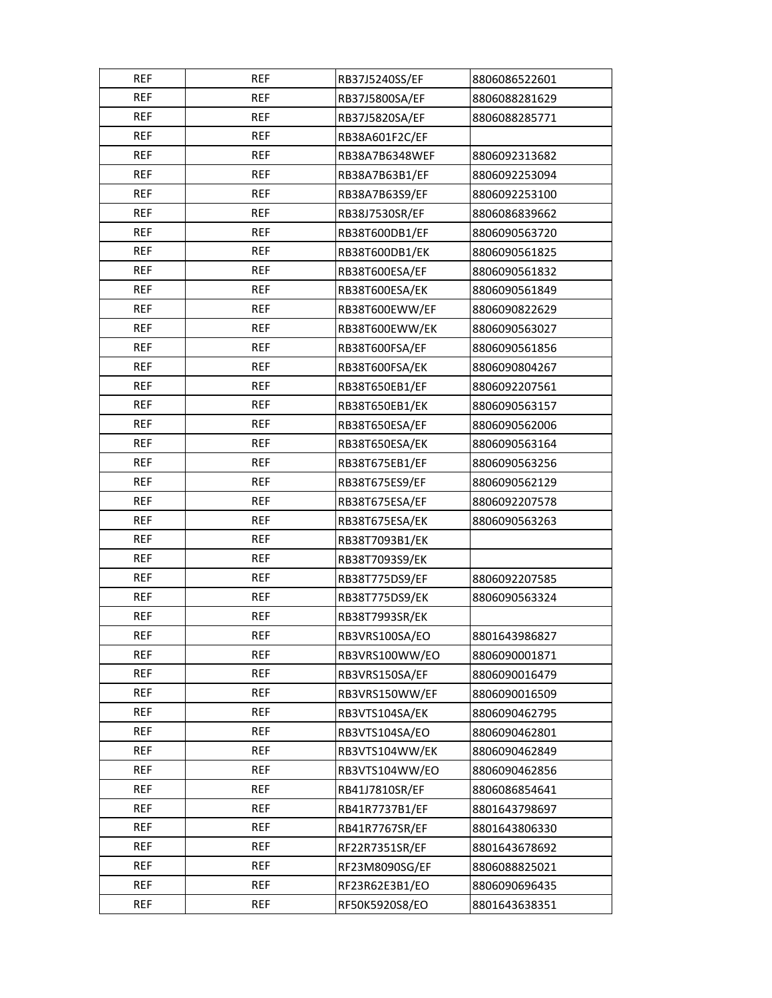| <b>REF</b> | <b>REF</b> | RB37J5240SS/EF | 8806086522601 |
|------------|------------|----------------|---------------|
| <b>REF</b> | <b>REF</b> | RB37J5800SA/EF | 8806088281629 |
| <b>REF</b> | <b>REF</b> | RB37J5820SA/EF | 8806088285771 |
| <b>REF</b> | REF        | RB38A601F2C/EF |               |
| <b>REF</b> | <b>REF</b> | RB38A7B6348WEF | 8806092313682 |
| <b>REF</b> | <b>REF</b> | RB38A7B63B1/EF | 8806092253094 |
| <b>REF</b> | <b>REF</b> | RB38A7B63S9/EF | 8806092253100 |
| <b>REF</b> | <b>REF</b> | RB38J7530SR/EF | 8806086839662 |
| <b>REF</b> | <b>REF</b> | RB38T600DB1/EF | 8806090563720 |
| <b>REF</b> | <b>REF</b> | RB38T600DB1/EK | 8806090561825 |
| <b>REF</b> | <b>REF</b> | RB38T600ESA/EF | 8806090561832 |
| <b>REF</b> | <b>REF</b> | RB38T600ESA/EK | 8806090561849 |
| <b>REF</b> | <b>REF</b> | RB38T600EWW/EF | 8806090822629 |
| <b>REF</b> | <b>REF</b> | RB38T600EWW/EK | 8806090563027 |
| <b>REF</b> | REF        | RB38T600FSA/EF | 8806090561856 |
| <b>REF</b> | <b>REF</b> | RB38T600FSA/EK | 8806090804267 |
| <b>REF</b> | <b>REF</b> | RB38T650EB1/EF | 8806092207561 |
| <b>REF</b> | <b>REF</b> | RB38T650EB1/EK | 8806090563157 |
| <b>REF</b> | REF        | RB38T650ESA/EF | 8806090562006 |
| <b>REF</b> | <b>REF</b> | RB38T650ESA/EK | 8806090563164 |
| <b>REF</b> | <b>REF</b> | RB38T675EB1/EF | 8806090563256 |
| <b>REF</b> | <b>REF</b> | RB38T675ES9/EF | 8806090562129 |
| <b>REF</b> | <b>REF</b> | RB38T675ESA/EF | 8806092207578 |
| <b>REF</b> | <b>REF</b> | RB38T675ESA/EK | 8806090563263 |
| <b>REF</b> | <b>REF</b> | RB38T7093B1/EK |               |
| <b>REF</b> | REF        | RB38T7093S9/EK |               |
| <b>REF</b> | <b>REF</b> | RB38T775DS9/EF | 8806092207585 |
| <b>REF</b> | <b>REF</b> | RB38T775DS9/EK | 8806090563324 |
| <b>REF</b> | <b>REF</b> | RB38T7993SR/EK |               |
| <b>REF</b> | <b>REF</b> | RB3VRS100SA/EO | 8801643986827 |
| <b>REF</b> | REF        | RB3VRS100WW/EO | 8806090001871 |
| <b>REF</b> | REF        | RB3VRS150SA/EF | 8806090016479 |
| <b>REF</b> | <b>REF</b> | RB3VRS150WW/EF | 8806090016509 |
| <b>REF</b> | REF        | RB3VTS104SA/EK | 8806090462795 |
| <b>REF</b> | <b>REF</b> | RB3VTS104SA/EO | 8806090462801 |
| <b>REF</b> | <b>REF</b> | RB3VTS104WW/EK | 8806090462849 |
| <b>REF</b> | <b>REF</b> | RB3VTS104WW/EO | 8806090462856 |
| <b>REF</b> | <b>REF</b> | RB41J7810SR/EF | 8806086854641 |
| REF        | REF        | RB41R7737B1/EF | 8801643798697 |
| <b>REF</b> | REF        | RB41R7767SR/EF | 8801643806330 |
| REF        | <b>REF</b> | RF22R7351SR/EF | 8801643678692 |
| <b>REF</b> | <b>REF</b> | RF23M8090SG/EF | 8806088825021 |
| REF        | REF        | RF23R62E3B1/EO | 8806090696435 |
| <b>REF</b> | <b>REF</b> | RF50K5920S8/EO | 8801643638351 |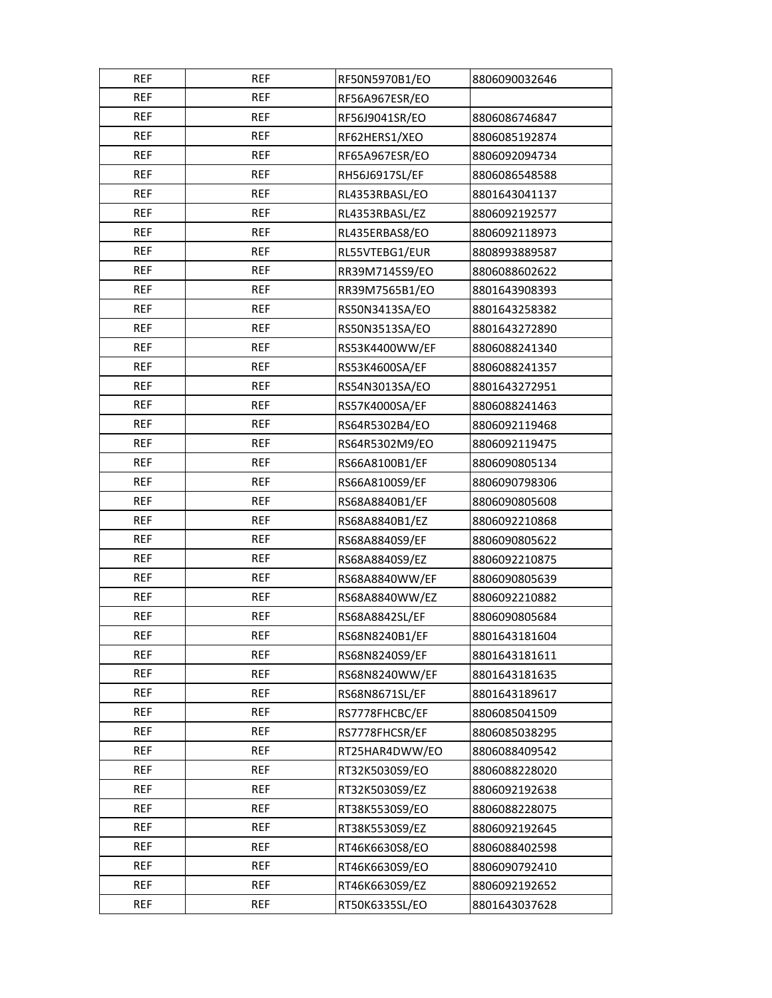| <b>REF</b> | <b>REF</b> | RF50N5970B1/EO | 8806090032646 |
|------------|------------|----------------|---------------|
| <b>REF</b> | <b>REF</b> | RF56A967ESR/EO |               |
| <b>REF</b> | <b>REF</b> | RF56J9041SR/EO | 8806086746847 |
| <b>REF</b> | <b>REF</b> | RF62HERS1/XEO  | 8806085192874 |
| <b>REF</b> | <b>REF</b> | RF65A967ESR/EO | 8806092094734 |
| <b>REF</b> | <b>REF</b> | RH56J6917SL/EF | 8806086548588 |
| <b>REF</b> | <b>REF</b> | RL4353RBASL/EO | 8801643041137 |
| <b>REF</b> | REF        | RL4353RBASL/EZ | 8806092192577 |
| <b>REF</b> | <b>REF</b> | RL435ERBAS8/EO | 8806092118973 |
| <b>REF</b> | <b>REF</b> | RL55VTEBG1/EUR | 8808993889587 |
| <b>REF</b> | <b>REF</b> | RR39M7145S9/EO | 8806088602622 |
| <b>REF</b> | <b>REF</b> | RR39M7565B1/EO | 8801643908393 |
| <b>REF</b> | <b>REF</b> | RS50N3413SA/EO | 8801643258382 |
| <b>REF</b> | <b>REF</b> | RS50N3513SA/EO | 8801643272890 |
| <b>REF</b> | <b>REF</b> | RS53K4400WW/EF | 8806088241340 |
| <b>REF</b> | <b>REF</b> | RS53K4600SA/EF | 8806088241357 |
| <b>REF</b> | <b>REF</b> | RS54N3013SA/EO | 8801643272951 |
| <b>REF</b> | <b>REF</b> | RS57K4000SA/EF | 8806088241463 |
| <b>REF</b> | REF        | RS64R5302B4/EO | 8806092119468 |
| <b>REF</b> | <b>REF</b> | RS64R5302M9/EO | 8806092119475 |
| <b>REF</b> | <b>REF</b> | RS66A8100B1/EF | 8806090805134 |
| <b>REF</b> | <b>REF</b> | RS66A8100S9/EF | 8806090798306 |
| <b>REF</b> | <b>REF</b> | RS68A8840B1/EF | 8806090805608 |
| <b>REF</b> | <b>REF</b> | RS68A8840B1/EZ | 8806092210868 |
| <b>REF</b> | <b>REF</b> | RS68A8840S9/EF | 8806090805622 |
| REF        | REF        | RS68A8840S9/EZ | 8806092210875 |
| <b>REF</b> | <b>REF</b> | RS68A8840WW/EF | 8806090805639 |
| <b>REF</b> | <b>REF</b> | RS68A8840WW/EZ | 8806092210882 |
| <b>REF</b> | <b>REF</b> | RS68A8842SL/EF | 8806090805684 |
| <b>REF</b> | REF        | RS68N8240B1/EF | 8801643181604 |
| <b>REF</b> | <b>REF</b> | RS68N8240S9/EF | 8801643181611 |
| <b>REF</b> | REF        | RS68N8240WW/EF | 8801643181635 |
| <b>REF</b> | <b>REF</b> | RS68N8671SL/EF | 8801643189617 |
| <b>REF</b> | <b>REF</b> | RS7778FHCBC/EF | 8806085041509 |
| <b>REF</b> | <b>REF</b> | RS7778FHCSR/EF | 8806085038295 |
| <b>REF</b> | REF        | RT25HAR4DWW/EO | 8806088409542 |
| REF        | <b>REF</b> | RT32K5030S9/EO | 8806088228020 |
| <b>REF</b> | REF        | RT32K5030S9/EZ | 8806092192638 |
| REF        | <b>REF</b> | RT38K5530S9/EO | 8806088228075 |
| <b>REF</b> | REF        | RT38K5530S9/EZ | 8806092192645 |
| REF        | <b>REF</b> | RT46K6630S8/EO | 8806088402598 |
| <b>REF</b> | REF        | RT46K6630S9/EO | 8806090792410 |
| REF        | REF        | RT46K6630S9/EZ | 8806092192652 |
| <b>REF</b> | <b>REF</b> | RT50K6335SL/EO | 8801643037628 |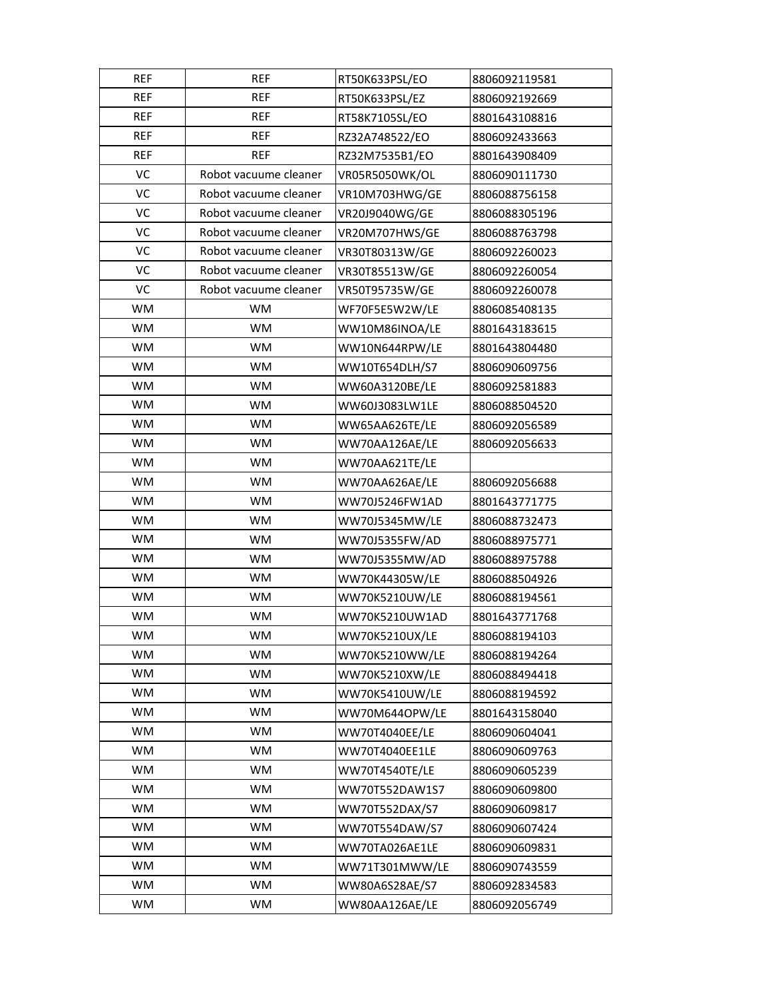| <b>REF</b> | <b>REF</b>            | RT50K633PSL/EO | 8806092119581 |
|------------|-----------------------|----------------|---------------|
| <b>REF</b> | <b>REF</b>            | RT50K633PSL/EZ | 8806092192669 |
| <b>REF</b> | <b>REF</b>            | RT58K7105SL/EO | 8801643108816 |
| <b>REF</b> | <b>REF</b>            | RZ32A748522/EO | 8806092433663 |
| <b>REF</b> | <b>REF</b>            | RZ32M7535B1/EO | 8801643908409 |
| VC         | Robot vacuume cleaner | VR05R5050WK/OL | 8806090111730 |
| VC         | Robot vacuume cleaner | VR10M703HWG/GE | 8806088756158 |
| VC         | Robot vacuume cleaner | VR20J9040WG/GE | 8806088305196 |
| VC         | Robot vacuume cleaner | VR20M707HWS/GE | 8806088763798 |
| VC         | Robot vacuume cleaner | VR30T80313W/GE | 8806092260023 |
| VC         | Robot vacuume cleaner | VR30T85513W/GE | 8806092260054 |
| VC         | Robot vacuume cleaner | VR50T95735W/GE | 8806092260078 |
| <b>WM</b>  | WM                    | WF70F5E5W2W/LE | 8806085408135 |
| <b>WM</b>  | <b>WM</b>             | WW10M86INOA/LE | 8801643183615 |
| <b>WM</b>  | <b>WM</b>             | WW10N644RPW/LE | 8801643804480 |
| WM         | <b>WM</b>             | WW10T654DLH/S7 | 8806090609756 |
| <b>WM</b>  | WM                    | WW60A3120BE/LE | 8806092581883 |
| WM         | <b>WM</b>             | WW60J3083LW1LE | 8806088504520 |
| <b>WM</b>  | <b>WM</b>             | WW65AA626TE/LE | 8806092056589 |
| <b>WM</b>  | WM                    | WW70AA126AE/LE | 8806092056633 |
| WM         | <b>WM</b>             | WW70AA621TE/LE |               |
| WM         | WM                    | WW70AA626AE/LE | 8806092056688 |
| WM         | <b>WM</b>             | WW70J5246FW1AD | 8801643771775 |
| <b>WM</b>  | <b>WM</b>             | WW70J5345MW/LE | 8806088732473 |
| <b>WM</b>  | <b>WM</b>             | WW70J5355FW/AD | 8806088975771 |
| WM         | <b>WM</b>             | WW70J5355MW/AD | 8806088975788 |
| WM         | <b>WM</b>             | WW70K44305W/LE | 8806088504926 |
| <b>WM</b>  | <b>WM</b>             | WW70K5210UW/LE | 8806088194561 |
| WM         | WM                    | WW70K5210UW1AD | 8801643771768 |
| <b>WM</b>  | WM                    | WW70K5210UX/LE | 8806088194103 |
| WM         | <b>WM</b>             | WW70K5210WW/LE | 8806088194264 |
| <b>WM</b>  | <b>WM</b>             | WW70K5210XW/LE | 8806088494418 |
| WM         | <b>WM</b>             | WW70K5410UW/LE | 8806088194592 |
| WM         | WM                    | WW70M644OPW/LE | 8801643158040 |
| <b>WM</b>  | <b>WM</b>             | WW70T4040EE/LE | 8806090604041 |
| WM         | <b>WM</b>             | WW70T4040EE1LE | 8806090609763 |
| <b>WM</b>  | <b>WM</b>             | WW70T4540TE/LE | 8806090605239 |
| <b>WM</b>  | <b>WM</b>             | WW70T552DAW1S7 | 8806090609800 |
| <b>WM</b>  | <b>WM</b>             | WW70T552DAX/S7 | 8806090609817 |
| WM         | <b>WM</b>             | WW70T554DAW/S7 | 8806090607424 |
| WM         | <b>WM</b>             | WW70TA026AE1LE | 8806090609831 |
| WM         | WM                    | WW71T301MWW/LE | 8806090743559 |
| WM         | <b>WM</b>             | WW80A6S28AE/S7 | 8806092834583 |
| WM         | <b>WM</b>             | WW80AA126AE/LE | 8806092056749 |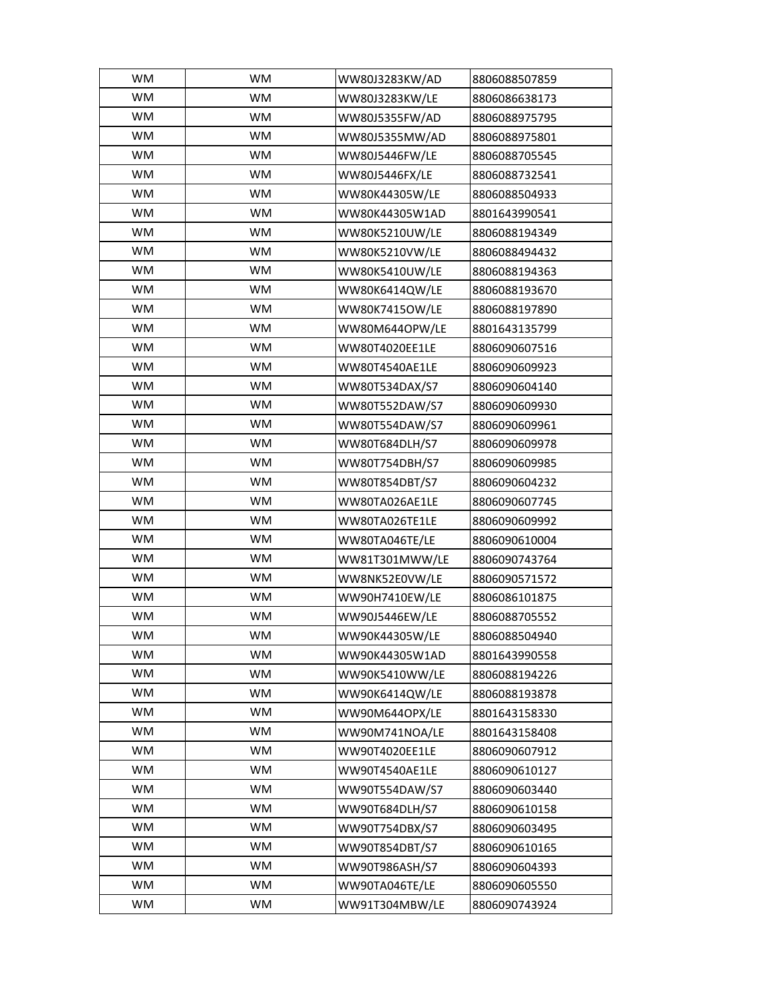| <b>WM</b> | <b>WM</b> | WW80J3283KW/AD | 8806088507859 |
|-----------|-----------|----------------|---------------|
| WM        | <b>WM</b> | WW80J3283KW/LE | 8806086638173 |
| <b>WM</b> | <b>WM</b> | WW80J5355FW/AD | 8806088975795 |
| <b>WM</b> | WM        | WW80J5355MW/AD | 8806088975801 |
| WM        | <b>WM</b> | WW80J5446FW/LE | 8806088705545 |
| WM        | WM        | WW80J5446FX/LE | 8806088732541 |
| <b>WM</b> | <b>WM</b> | WW80K44305W/LE | 8806088504933 |
| <b>WM</b> | <b>WM</b> | WW80K44305W1AD | 8801643990541 |
| <b>WM</b> | <b>WM</b> | WW80K5210UW/LE | 8806088194349 |
| <b>WM</b> | <b>WM</b> | WW80K5210VW/LE | 8806088494432 |
| <b>WM</b> | <b>WM</b> | WW80K5410UW/LE | 8806088194363 |
| <b>WM</b> | <b>WM</b> | WW80K6414QW/LE | 8806088193670 |
| <b>WM</b> | <b>WM</b> | WW80K7415OW/LE | 8806088197890 |
| WM        | <b>WM</b> | WW80M644OPW/LE | 8801643135799 |
| <b>WM</b> | <b>WM</b> | WW80T4020EE1LE | 8806090607516 |
| <b>WM</b> | <b>WM</b> | WW80T4540AE1LE | 8806090609923 |
| <b>WM</b> | WM        | WW80T534DAX/S7 | 8806090604140 |
| <b>WM</b> | <b>WM</b> | WW80T552DAW/S7 | 8806090609930 |
| WM        | WM        | WW80T554DAW/S7 | 8806090609961 |
| <b>WM</b> | <b>WM</b> | WW80T684DLH/S7 | 8806090609978 |
| <b>WM</b> | <b>WM</b> | WW80T754DBH/S7 | 8806090609985 |
| <b>WM</b> | <b>WM</b> | WW80T854DBT/S7 | 8806090604232 |
| <b>WM</b> | WM        | WW80TA026AE1LE | 8806090607745 |
| <b>WM</b> | WM        | WW80TA026TE1LE | 8806090609992 |
| <b>WM</b> | WM        | WW80TA046TE/LE | 8806090610004 |
| <b>WM</b> | <b>WM</b> | WW81T301MWW/LE | 8806090743764 |
| <b>WM</b> | <b>WM</b> | WW8NK52E0VW/LE | 8806090571572 |
| <b>WM</b> | <b>WM</b> | WW90H7410EW/LE | 8806086101875 |
| WM        | WM        | WW90J5446EW/LE | 8806088705552 |
| <b>WM</b> | WM        | WW90K44305W/LE | 8806088504940 |
| <b>WM</b> | <b>WM</b> | WW90K44305W1AD | 8801643990558 |
| <b>WM</b> | <b>WM</b> | WW90K5410WW/LE | 8806088194226 |
| <b>WM</b> | <b>WM</b> | WW90K6414QW/LE | 8806088193878 |
| <b>WM</b> | <b>WM</b> | WW90M644OPX/LE | 8801643158330 |
| <b>WM</b> | <b>WM</b> | WW90M741NOA/LE | 8801643158408 |
| <b>WM</b> | WM        | WW90T4020EE1LE | 8806090607912 |
| <b>WM</b> | WM        | WW90T4540AE1LE | 8806090610127 |
| <b>WM</b> | WM        | WW90T554DAW/S7 | 8806090603440 |
| <b>WM</b> | WM        | WW90T684DLH/S7 | 8806090610158 |
| <b>WM</b> | WM        | WW90T754DBX/S7 | 8806090603495 |
| WM        | WM        | WW90T854DBT/S7 | 8806090610165 |
| WM        | WM        | WW90T986ASH/S7 | 8806090604393 |
| WM        | WM        | WW90TA046TE/LE | 8806090605550 |
| WM        | WM        | WW91T304MBW/LE | 8806090743924 |